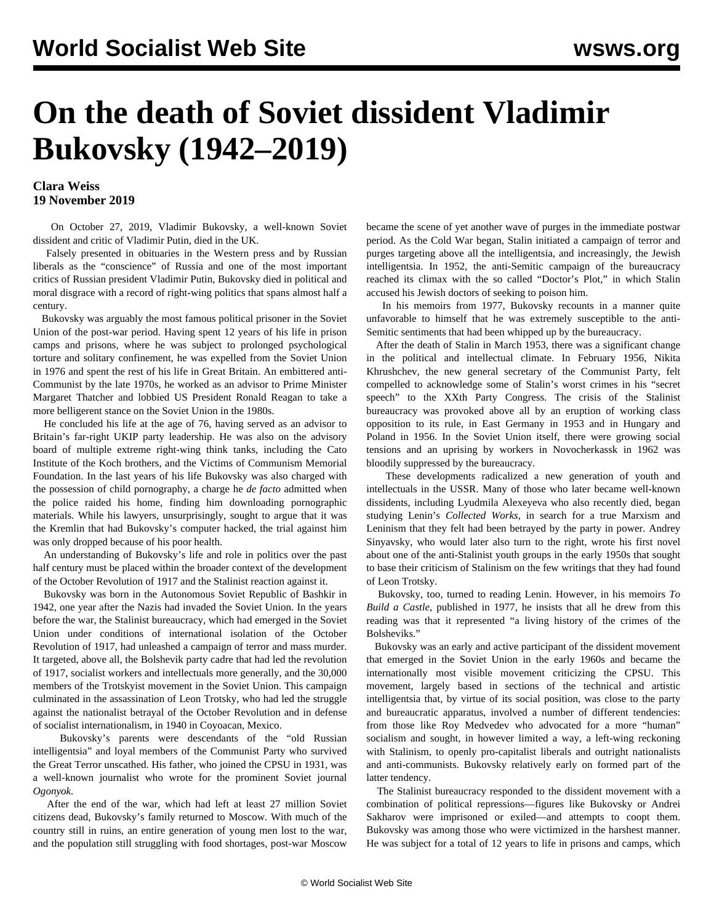## **On the death of Soviet dissident Vladimir Bukovsky (1942–2019)**

## **Clara Weiss 19 November 2019**

 On October 27, 2019, Vladimir Bukovsky, a well-known Soviet dissident and critic of Vladimir Putin, died in the UK.

 Falsely presented in obituaries in the Western press and by Russian liberals as the "conscience" of Russia and one of the most important critics of Russian president Vladimir Putin, Bukovsky died in political and moral disgrace with a record of right-wing politics that spans almost half a century.

 Bukovsky was arguably the most famous political prisoner in the Soviet Union of the post-war period. Having spent 12 years of his life in prison camps and prisons, where he was subject to prolonged psychological torture and solitary confinement, he was expelled from the Soviet Union in 1976 and spent the rest of his life in Great Britain. An embittered anti-Communist by the late 1970s, he worked as an advisor to Prime Minister Margaret Thatcher and lobbied US President Ronald Reagan to take a more belligerent stance on the Soviet Union in the 1980s.

 He concluded his life at the age of 76, having served as an advisor to Britain's far-right UKIP party leadership. He was also on the advisory board of multiple extreme right-wing think tanks, including the Cato Institute of the Koch brothers, and the Victims of Communism Memorial Foundation. In the last years of his life Bukovsky was also charged with the possession of child pornography, a charge he *de facto* admitted when the police raided his home, finding him downloading pornographic materials. While his lawyers, unsurprisingly, sought to argue that it was the Kremlin that had Bukovsky's computer hacked, the trial against him was only dropped because of his poor health.

 An understanding of Bukovsky's life and role in politics over the past half century must be placed within the broader context of the development of the October Revolution of 1917 and the Stalinist reaction against it.

 Bukovsky was born in the Autonomous Soviet Republic of Bashkir in 1942, one year after the Nazis had invaded the Soviet Union. In the years before the war, the Stalinist bureaucracy, which had emerged in the Soviet Union under conditions of international isolation of the October Revolution of 1917, had unleashed a campaign of terror and mass murder. It targeted, above all, the Bolshevik party cadre that had led the revolution of 1917, socialist workers and intellectuals more generally, and the 30,000 members of the Trotskyist movement in the Soviet Union. This campaign culminated in the assassination of Leon Trotsky, who had led the struggle against the nationalist betrayal of the October Revolution and in defense of socialist internationalism, in 1940 in Coyoacan, Mexico.

 Bukovsky's parents were descendants of the "old Russian intelligentsia" and loyal members of the Communist Party who survived the Great Terror unscathed. His father, who joined the CPSU in 1931, was a well-known journalist who wrote for the prominent Soviet journal *Ogonyok*.

 After the end of the war, which had left at least 27 million Soviet citizens dead, Bukovsky's family returned to Moscow. With much of the country still in ruins, an entire generation of young men lost to the war, and the population still struggling with food shortages, post-war Moscow

became the scene of yet another wave of purges in the immediate postwar period. As the Cold War began, Stalin initiated a campaign of terror and purges targeting above all the intelligentsia, and increasingly, the Jewish intelligentsia. In 1952, the anti-Semitic campaign of the bureaucracy reached its climax with the so called "Doctor's Plot," in which Stalin accused his Jewish doctors of seeking to poison him.

 In his memoirs from 1977, Bukovsky recounts in a manner quite unfavorable to himself that he was extremely susceptible to the anti-Semitic sentiments that had been whipped up by the bureaucracy.

 After the death of Stalin in March 1953, there was a significant change in the political and intellectual climate. In February 1956, Nikita Khrushchev, the new general secretary of the Communist Party, felt compelled to acknowledge some of Stalin's worst crimes in his "secret speech" to the XXth Party Congress. The crisis of the Stalinist bureaucracy was provoked above all by an eruption of working class opposition to its rule, in East Germany in 1953 and in Hungary and Poland in 1956. In the Soviet Union itself, there were growing social tensions and an uprising by workers in Novocherkassk in 1962 was bloodily suppressed by the bureaucracy.

 These developments radicalized a new generation of youth and intellectuals in the USSR. Many of those who later became well-known dissidents, including Lyudmila Alexeyeva who also recently died, began studying Lenin's *Collected Works*, in search for a true Marxism and Leninism that they felt had been betrayed by the party in power. Andrey Sinyavsky, who would later also turn to the right, wrote his first novel about one of the anti-Stalinist youth groups in the early 1950s that sought to base their criticism of Stalinism on the few writings that they had found of Leon Trotsky.

 Bukovsky, too, turned to reading Lenin. However, in his memoirs *To Build a Castle*, published in 1977, he insists that all he drew from this reading was that it represented "a living history of the crimes of the Bolsheviks."

 Bukovsky was an early and active participant of the dissident movement that emerged in the Soviet Union in the early 1960s and became the internationally most visible movement criticizing the CPSU. This movement, largely based in sections of the technical and artistic intelligentsia that, by virtue of its social position, was close to the party and bureaucratic apparatus, involved a number of different tendencies: from those like Roy Medvedev who advocated for a more "human" socialism and sought, in however limited a way, a left-wing reckoning with Stalinism, to openly pro-capitalist liberals and outright nationalists and anti-communists. Bukovsky relatively early on formed part of the latter tendency.

 The Stalinist bureaucracy responded to the dissident movement with a combination of political repressions—figures like Bukovsky or Andrei Sakharov were imprisoned or exiled—and attempts to coopt them. Bukovsky was among those who were victimized in the harshest manner. He was subject for a total of 12 years to life in prisons and camps, which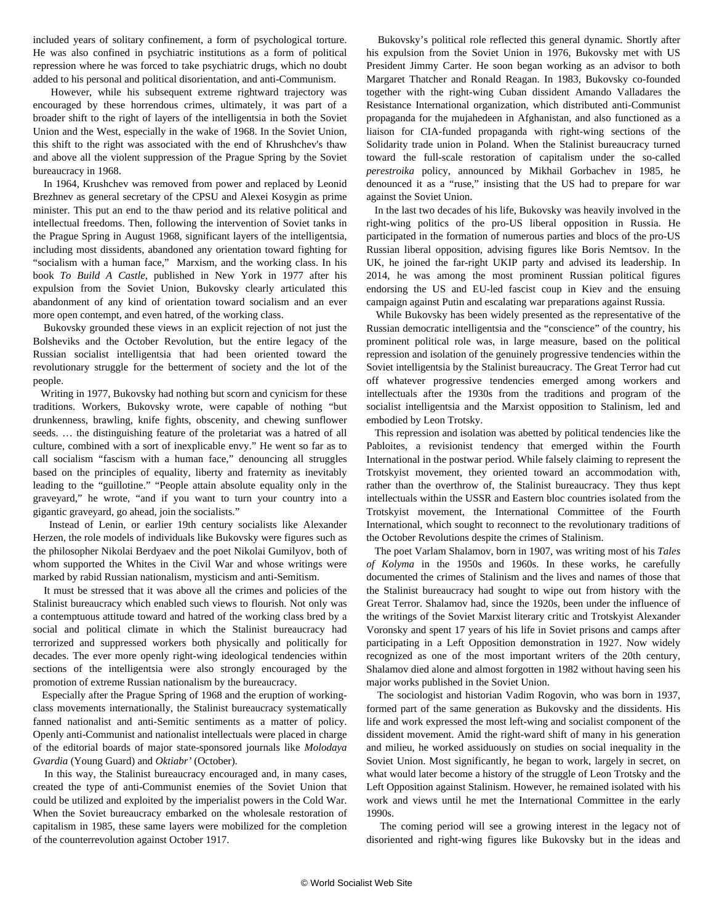included years of solitary confinement, a form of psychological torture. He was also confined in psychiatric institutions as a form of political repression where he was forced to take psychiatric drugs, which no doubt added to his personal and political disorientation, and anti-Communism.

 However, while his subsequent extreme rightward trajectory was encouraged by these horrendous crimes, ultimately, it was part of a broader shift to the right of layers of the intelligentsia in both the Soviet Union and the West, especially in the wake of 1968. In the Soviet Union, this shift to the right was associated with the end of Khrushchev's thaw and above all the violent suppression of the Prague Spring by the Soviet bureaucracy in 1968.

 In 1964, Krushchev was removed from power and replaced by Leonid Brezhnev as general secretary of the CPSU and Alexei Kosygin as prime minister. This put an end to the thaw period and its relative political and intellectual freedoms. Then, following the intervention of Soviet tanks in the Prague Spring in August 1968, significant layers of the intelligentsia, including most dissidents, abandoned any orientation toward fighting for "socialism with a human face," Marxism, and the working class. In his book *To Build A Castle*, published in New York in 1977 after his expulsion from the Soviet Union, Bukovsky clearly articulated this abandonment of any kind of orientation toward socialism and an ever more open contempt, and even hatred, of the working class.

 Bukovsky grounded these views in an explicit rejection of not just the Bolsheviks and the October Revolution, but the entire legacy of the Russian socialist intelligentsia that had been oriented toward the revolutionary struggle for the betterment of society and the lot of the people.

 Writing in 1977, Bukovsky had nothing but scorn and cynicism for these traditions. Workers, Bukovsky wrote, were capable of nothing "but drunkenness, brawling, knife fights, obscenity, and chewing sunflower seeds. … the distinguishing feature of the proletariat was a hatred of all culture, combined with a sort of inexplicable envy." He went so far as to call socialism "fascism with a human face," denouncing all struggles based on the principles of equality, liberty and fraternity as inevitably leading to the "guillotine." "People attain absolute equality only in the graveyard," he wrote, "and if you want to turn your country into a gigantic graveyard, go ahead, join the socialists."

 Instead of Lenin, or earlier 19th century socialists like Alexander Herzen, the role models of individuals like Bukovsky were figures such as the philosopher Nikolai Berdyaev and the poet Nikolai Gumilyov, both of whom supported the Whites in the Civil War and whose writings were marked by rabid Russian nationalism, mysticism and anti-Semitism.

 It must be stressed that it was above all the crimes and policies of the Stalinist bureaucracy which enabled such views to flourish. Not only was a contemptuous attitude toward and hatred of the working class bred by a social and political climate in which the Stalinist bureaucracy had terrorized and suppressed workers both physically and politically for decades. The ever more openly right-wing ideological tendencies within sections of the intelligentsia were also strongly encouraged by the promotion of extreme Russian nationalism by the bureaucracy.

 Especially after the Prague Spring of 1968 and the eruption of workingclass movements internationally, the Stalinist bureaucracy systematically fanned nationalist and anti-Semitic sentiments as a matter of policy. Openly anti-Communist and nationalist intellectuals were placed in charge of the editorial boards of major state-sponsored journals like *Molodaya Gvardia* (Young Guard) and *Oktiabr'* (October).

 In this way, the Stalinist bureaucracy encouraged and, in many cases, created the type of anti-Communist enemies of the Soviet Union that could be utilized and exploited by the imperialist powers in the Cold War. When the Soviet bureaucracy embarked on the wholesale restoration of capitalism in 1985, these same layers were mobilized for the completion of the counterrevolution against October 1917.

 Bukovsky's political role reflected this general dynamic. Shortly after his expulsion from the Soviet Union in 1976, Bukovsky met with US President Jimmy Carter. He soon began working as an advisor to both Margaret Thatcher and Ronald Reagan. In 1983, Bukovsky co-founded together with the right-wing Cuban dissident Amando Valladares the Resistance International organization, which distributed anti-Communist propaganda for the mujahedeen in Afghanistan, and also functioned as a liaison for CIA-funded propaganda with right-wing sections of the Solidarity trade union in Poland. When the Stalinist bureaucracy turned toward the full-scale restoration of capitalism under the so-called *perestroika* policy, announced by Mikhail Gorbachev in 1985, he denounced it as a "ruse," insisting that the US had to prepare for war against the Soviet Union.

 In the last two decades of his life, Bukovsky was heavily involved in the right-wing politics of the pro-US liberal opposition in Russia. He participated in the formation of numerous parties and blocs of the pro-US Russian liberal opposition, advising figures like Boris Nemtsov. In the UK, he joined the far-right UKIP party and advised its leadership. In 2014, he was among the most prominent Russian political figures endorsing the US and EU-led fascist coup in Kiev and the ensuing campaign against Putin and escalating war preparations against Russia.

 While Bukovsky has been widely presented as the representative of the Russian democratic intelligentsia and the "conscience" of the country, his prominent political role was, in large measure, based on the political repression and isolation of the genuinely progressive tendencies within the Soviet intelligentsia by the Stalinist bureaucracy. The Great Terror had cut off whatever progressive tendencies emerged among workers and intellectuals after the 1930s from the traditions and program of the socialist intelligentsia and the Marxist opposition to Stalinism, led and embodied by Leon Trotsky.

 This repression and isolation was abetted by political tendencies like the Pabloites, a revisionist tendency that emerged within the Fourth International in the postwar period. While falsely claiming to represent the Trotskyist movement, they oriented toward an accommodation with, rather than the overthrow of, the Stalinist bureaucracy. They thus kept intellectuals within the USSR and Eastern bloc countries isolated from the Trotskyist movement, the International Committee of the Fourth International, which sought to reconnect to the revolutionary traditions of the October Revolutions despite the crimes of Stalinism.

 The poet Varlam Shalamov, born in 1907, was writing most of his *Tales of Kolyma* in the 1950s and 1960s. In these works, he carefully documented the crimes of Stalinism and the lives and names of those that the Stalinist bureaucracy had sought to wipe out from history with the Great Terror. Shalamov had, since the 1920s, been under the influence of the writings of the Soviet Marxist literary critic and Trotskyist Alexander Voronsky and spent 17 years of his life in Soviet prisons and camps after participating in a Left Opposition demonstration in 1927. Now widely recognized as one of the most important writers of the 20th century, Shalamov died alone and almost forgotten in 1982 without having seen his major works published in the Soviet Union.

 The sociologist and historian Vadim Rogovin, who was born in 1937, formed part of the same generation as Bukovsky and the dissidents. His life and work expressed the most left-wing and socialist component of the dissident movement. Amid the right-ward shift of many in his generation and milieu, he worked assiduously on studies on social inequality in the Soviet Union. Most significantly, he began to work, largely in secret, on what would later become a history of the struggle of Leon Trotsky and the Left Opposition against Stalinism. However, he remained isolated with his work and views until he met the International Committee in the early 1990s.

 The coming period will see a growing interest in the legacy not of disoriented and right-wing figures like Bukovsky but in the ideas and